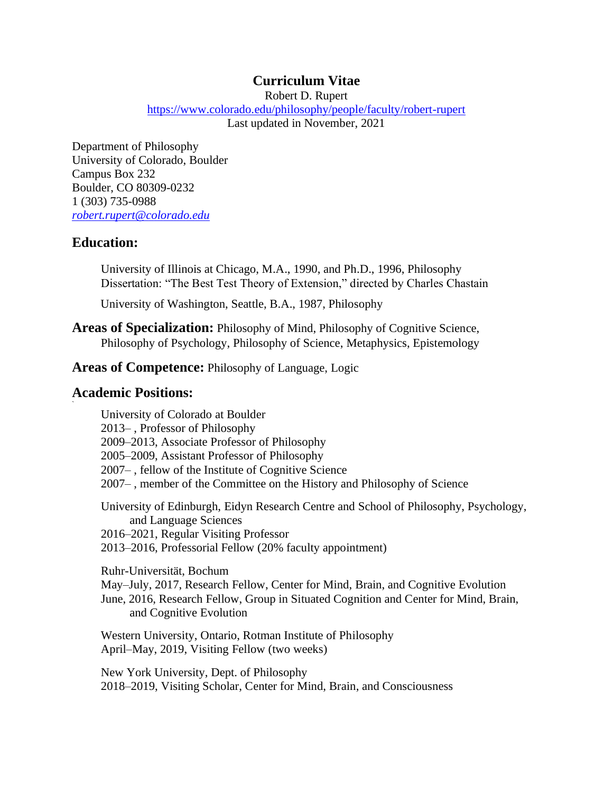# **Curriculum Vitae**

Robert D. Rupert

<https://www.colorado.edu/philosophy/people/faculty/robert-rupert> Last updated in November, 2021

Department of Philosophy University of Colorado, Boulder Campus Box 232 Boulder, CO 80309-0232 1 (303) 735-0988 *[robert.rupert@colorado.edu](mailto:robert.rupert@colorado.edu)*

# **Education:**

University of Illinois at Chicago, M.A., 1990, and Ph.D., 1996, Philosophy Dissertation: "The Best Test Theory of Extension," directed by Charles Chastain

University of Washington, Seattle, B.A., 1987, Philosophy

**Areas of Specialization:** Philosophy of Mind, Philosophy of Cognitive Science, Philosophy of Psychology, Philosophy of Science, Metaphysics, Epistemology

## **Areas of Competence:** Philosophy of Language, Logic

# **Academic Positions:**

**`**

University of Colorado at Boulder 2013– , Professor of Philosophy 2009–2013, Associate Professor of Philosophy 2005–2009, Assistant Professor of Philosophy 2007– , fellow of the Institute of Cognitive Science 2007– , member of the Committee on the History and Philosophy of Science University of Edinburgh, Eidyn Research Centre and School of Philosophy, Psychology, and Language Sciences 2016–2021, Regular Visiting Professor 2013–2016, Professorial Fellow (20% faculty appointment) Ruhr-Universität, Bochum May–July, 2017, Research Fellow, Center for Mind, Brain, and Cognitive Evolution June, 2016, Research Fellow, Group in Situated Cognition and Center for Mind, Brain, and Cognitive Evolution Western University, Ontario, Rotman Institute of Philosophy April–May, 2019, Visiting Fellow (two weeks)

New York University, Dept. of Philosophy 2018–2019, Visiting Scholar, Center for Mind, Brain, and Consciousness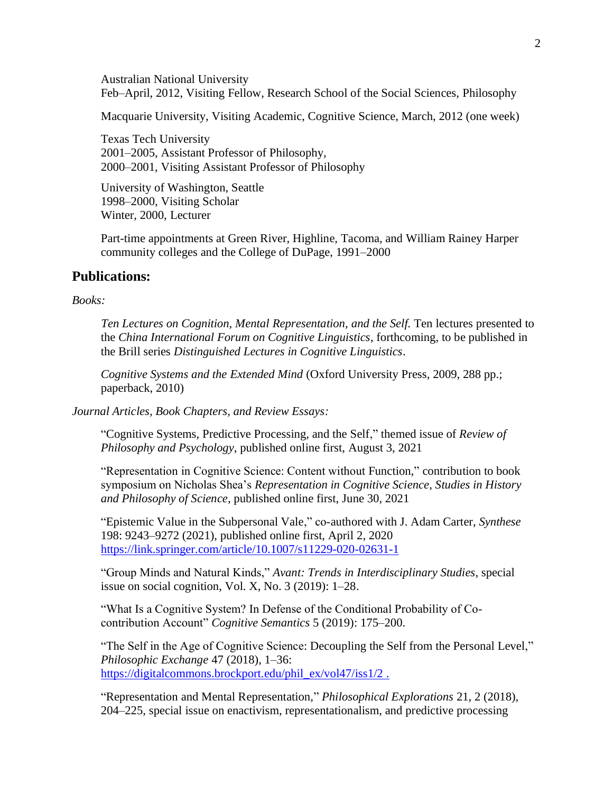Australian National University Feb–April, 2012, Visiting Fellow, Research School of the Social Sciences, Philosophy

Macquarie University, Visiting Academic, Cognitive Science, March, 2012 (one week)

Texas Tech University 2001–2005, Assistant Professor of Philosophy, 2000–2001, Visiting Assistant Professor of Philosophy

University of Washington, Seattle 1998–2000, Visiting Scholar Winter, 2000, Lecturer

Part-time appointments at Green River, Highline, Tacoma, and William Rainey Harper community colleges and the College of DuPage, 1991–2000

## **Publications:**

#### *Books:*

*Ten Lectures on Cognition, Mental Representation, and the Self.* Ten lectures presented to the *China International Forum on Cognitive Linguistics*, forthcoming, to be published in the Brill series *Distinguished Lectures in Cognitive Linguistics*.

*Cognitive Systems and the Extended Mind* (Oxford University Press, 2009, 288 pp.; paperback, 2010)

*Journal Articles, Book Chapters, and Review Essays:*

"Cognitive Systems, Predictive Processing, and the Self," themed issue of *Review of Philosophy and Psychology*, published online first, August 3, 2021

"Representation in Cognitive Science: Content without Function," contribution to book symposium on Nicholas Shea's *Representation in Cognitive Science*, *Studies in History and Philosophy of Science*, published online first, June 30, 2021

"Epistemic Value in the Subpersonal Vale," co-authored with J. Adam Carter, *Synthese* 198: 9243–9272 (2021), published online first, April 2, 2020 <https://link.springer.com/article/10.1007/s11229-020-02631-1>

"Group Minds and Natural Kinds," *Avant: Trends in Interdisciplinary Studies*, special issue on social cognition, Vol. X, No. 3 (2019): 1–28.

"What Is a Cognitive System? In Defense of the Conditional Probability of Cocontribution Account" *Cognitive Semantics* 5 (2019): 175–200.

"The Self in the Age of Cognitive Science: Decoupling the Self from the Personal Level," *Philosophic Exchange* 47 (2018), 1–36: [https://digitalcommons.brockport.edu/phil\\_ex/vol47/iss1/2](https://digitalcommons.brockport.edu/phil_ex/vol47/iss1/2).

"Representation and Mental Representation," *Philosophical Explorations* 21, 2 (2018), 204–225, special issue on enactivism, representationalism, and predictive processing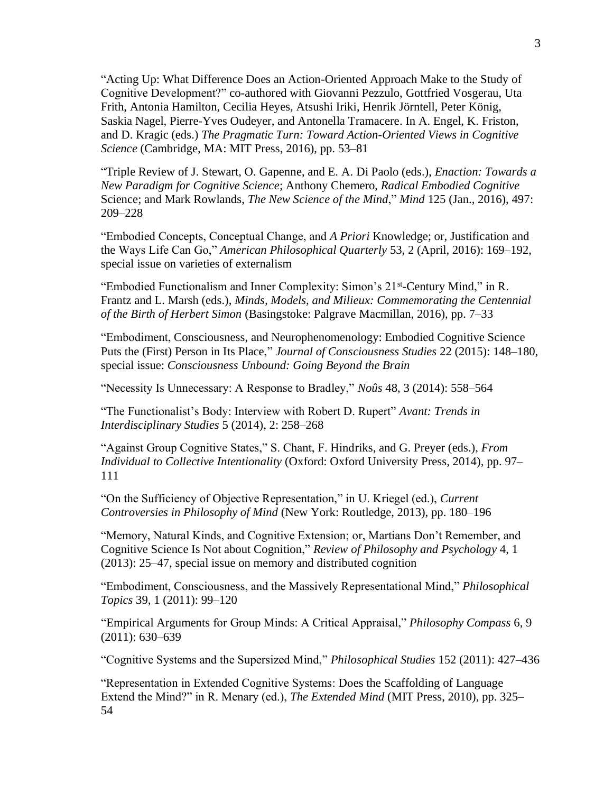"Acting Up: What Difference Does an Action-Oriented Approach Make to the Study of Cognitive Development?" co-authored with Giovanni Pezzulo, Gottfried Vosgerau, Uta Frith, Antonia Hamilton, Cecilia Heyes, Atsushi Iriki, Henrik Jörntell, Peter König, Saskia Nagel, Pierre-Yves Oudeyer, and Antonella Tramacere. In A. Engel, K. Friston, and D. Kragic (eds.) *The Pragmatic Turn: Toward Action-Oriented Views in Cognitive Science* (Cambridge, MA: MIT Press, 2016), pp. 53–81

"Triple Review of J. Stewart, O. Gapenne, and E. A. Di Paolo (eds.), *Enaction: Towards a New Paradigm for Cognitive Science*; Anthony Chemero, *Radical Embodied Cognitive* Science; and Mark Rowlands, *The New Science of the Mind*," *Mind* 125 (Jan., 2016), 497: 209–228

"Embodied Concepts, Conceptual Change, and *A Priori* Knowledge; or, Justification and the Ways Life Can Go," *American Philosophical Quarterly* 53, 2 (April, 2016): 169–192, special issue on varieties of externalism

"Embodied Functionalism and Inner Complexity: Simon's 21<sup>st</sup>-Century Mind," in R. Frantz and L. Marsh (eds.), *Minds, Models, and Milieux: Commemorating the Centennial of the Birth of Herbert Simon* (Basingstoke: Palgrave Macmillan, 2016), pp. 7–33

"Embodiment, Consciousness, and Neurophenomenology: Embodied Cognitive Science Puts the (First) Person in Its Place," *Journal of Consciousness Studies* 22 (2015): 148–180, special issue: *Consciousness Unbound: Going Beyond the Brain*

"Necessity Is Unnecessary: A Response to Bradley," *Noûs* 48, 3 (2014): 558–564

"The Functionalist's Body: Interview with Robert D. Rupert" *Avant: Trends in Interdisciplinary Studies* 5 (2014), 2: 258–268

"Against Group Cognitive States," S. Chant, F. Hindriks, and G. Preyer (eds.), *From Individual to Collective Intentionality* (Oxford: Oxford University Press, 2014), pp. 97– 111

"On the Sufficiency of Objective Representation," in U. Kriegel (ed.), *Current Controversies in Philosophy of Mind* (New York: Routledge, 2013), pp. 180–196

"Memory, Natural Kinds, and Cognitive Extension; or, Martians Don't Remember, and Cognitive Science Is Not about Cognition," *Review of Philosophy and Psychology* 4, 1 (2013): 25–47, special issue on memory and distributed cognition

"Embodiment, Consciousness, and the Massively Representational Mind," *Philosophical Topics* 39, 1 (2011): 99–120

"Empirical Arguments for Group Minds: A Critical Appraisal," *Philosophy Compass* 6, 9 (2011): 630–639

"Cognitive Systems and the Supersized Mind," *Philosophical Studies* 152 (2011): 427–436

"Representation in Extended Cognitive Systems: Does the Scaffolding of Language Extend the Mind?" in R. Menary (ed.), *The Extended Mind* (MIT Press, 2010), pp. 325– 54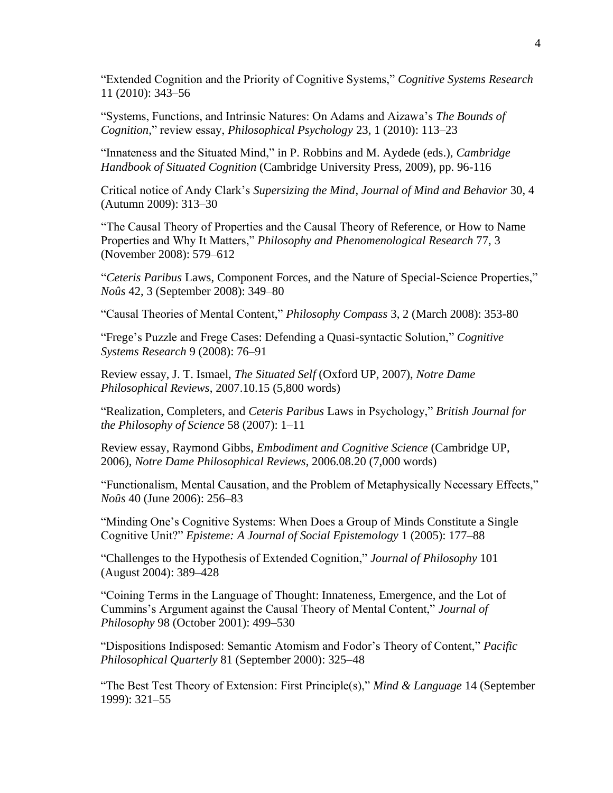"Extended Cognition and the Priority of Cognitive Systems," *Cognitive Systems Research* 11 (2010): 343–56

"Systems, Functions, and Intrinsic Natures: On Adams and Aizawa's *The Bounds of Cognition,*" review essay, *Philosophical Psychology* [23,](http://www.informaworld.com/smpp/title~db=all~content=t713441835~tab=issueslist~branches=23#v23) [1 \(](http://www.informaworld.com/smpp/title~db=all~content=g919152919)2010): 113–23

"Innateness and the Situated Mind," in P. Robbins and M. Aydede (eds.), *Cambridge Handbook of Situated Cognition* (Cambridge University Press, 2009), pp. 96-116

Critical notice of Andy Clark's *Supersizing the Mind*, *Journal of Mind and Behavior* 30, 4 (Autumn 2009): 313–30

"The Causal Theory of Properties and the Causal Theory of Reference, or How to Name Properties and Why It Matters," *Philosophy and Phenomenological Research* 77, 3 (November 2008): 579–612

"*Ceteris Paribus* Laws, Component Forces, and the Nature of Special-Science Properties," *Noûs* 42, 3 (September 2008): 349–80

"Causal Theories of Mental Content," *Philosophy Compass* 3, 2 (March 2008): 353-80

"Frege's Puzzle and Frege Cases: Defending a Quasi-syntactic Solution," *Cognitive Systems Research* 9 (2008): 76–91

Review essay, J. T. Ismael, *The Situated Self* (Oxford UP, 2007), *Notre Dame Philosophical Reviews*, 2007.10.15 (5,800 words)

"Realization, Completers, and *Ceteris Paribus* Laws in Psychology," *British Journal for the Philosophy of Science* 58 (2007): 1–11

Review essay, Raymond Gibbs, *Embodiment and Cognitive Science* (Cambridge UP, 2006), *Notre Dame Philosophical Reviews*, 2006.08.20 (7,000 words)

"Functionalism, Mental Causation, and the Problem of Metaphysically Necessary Effects," *Noûs* 40 (June 2006): 256–83

"Minding One's Cognitive Systems: When Does a Group of Minds Constitute a Single Cognitive Unit?" *Episteme: A Journal of Social Epistemology* 1 (2005): 177–88

"Challenges to the Hypothesis of Extended Cognition," *Journal of Philosophy* 101 (August 2004): 389–428

"Coining Terms in the Language of Thought: Innateness, Emergence, and the Lot of Cummins's Argument against the Causal Theory of Mental Content," *Journal of Philosophy* 98 (October 2001): 499–530

"Dispositions Indisposed: Semantic Atomism and Fodor's Theory of Content," *Pacific Philosophical Quarterly* 81 (September 2000): 325–48

"The Best Test Theory of Extension: First Principle(s)," *Mind & Language* 14 (September 1999): 321–55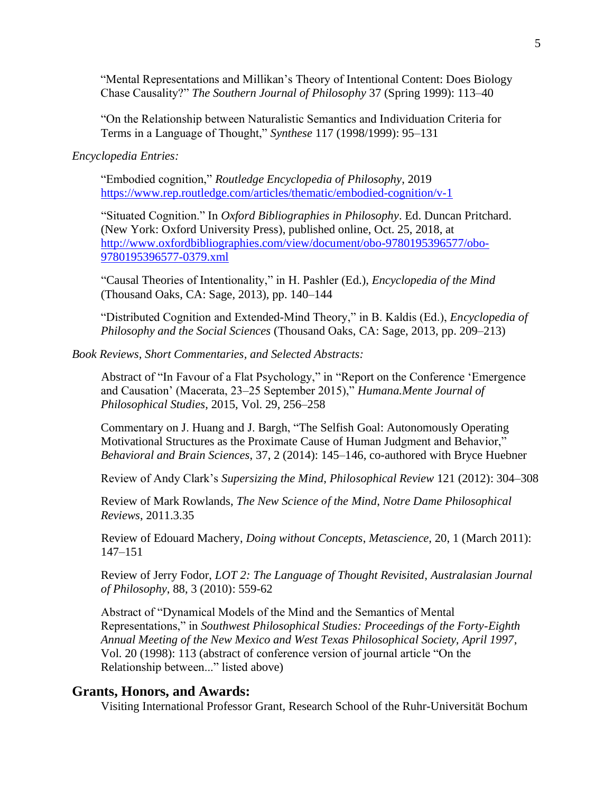"Mental Representations and Millikan's Theory of Intentional Content: Does Biology Chase Causality?" *The Southern Journal of Philosophy* 37 (Spring 1999): 113–40

"On the Relationship between Naturalistic Semantics and Individuation Criteria for Terms in a Language of Thought," *Synthese* 117 (1998/1999): 95–131

#### *Encyclopedia Entries:*

"Embodied cognition," *Routledge Encyclopedia of Philosophy*, 2019 <https://www.rep.routledge.com/articles/thematic/embodied-cognition/v-1>

"Situated Cognition." In *Oxford Bibliographies in Philosophy*. Ed. Duncan Pritchard. (New York: Oxford University Press), published online, Oct. 25, 2018, at [http://www.oxfordbibliographies.com/view/document/obo-9780195396577/obo-](http://www.oxfordbibliographies.com/view/document/obo-9780195396577/obo-9780195396577-0379.xml)[9780195396577-0379.xml](http://www.oxfordbibliographies.com/view/document/obo-9780195396577/obo-9780195396577-0379.xml)

"Causal Theories of Intentionality," in H. Pashler (Ed.), *Encyclopedia of the Mind* (Thousand Oaks, CA: Sage, 2013), pp. 140–144

"Distributed Cognition and Extended-Mind Theory," in B. Kaldis (Ed.), *Encyclopedia of Philosophy and the Social Sciences* (Thousand Oaks, CA: Sage, 2013, pp. 209–213)

#### *Book Reviews, Short Commentaries, and Selected Abstracts:*

Abstract of "In Favour of a Flat Psychology," in "Report on the Conference 'Emergence and Causation' (Macerata, 23–25 September 2015)," *Humana.Mente Journal of Philosophical Studies*, 2015, Vol. 29, 256–258

Commentary on J. Huang and J. Bargh, "The Selfish Goal: Autonomously Operating Motivational Structures as the Proximate Cause of Human Judgment and Behavior," *Behavioral and Brain Sciences*, 37, 2 (2014): 145–146, co-authored with Bryce Huebner

Review of Andy Clark's *Supersizing the Mind*, *Philosophical Review* 121 (2012): 304–308

Review of Mark Rowlands, *The New Science of the Mind*, *Notre Dame Philosophical Reviews*, 2011.3.35

Review of Edouard Machery, *Doing without Concepts*, *Metascience*, 20, 1 (March 2011): 147–151

Review of Jerry Fodor, *LOT 2: The Language of Thought Revisited*, *Australasian Journal of Philosophy*, 88, 3 (2010): 559-62

Abstract of "Dynamical Models of the Mind and the Semantics of Mental Representations," in *Southwest Philosophical Studies: Proceedings of the Forty-Eighth Annual Meeting of the New Mexico and West Texas Philosophical Society, April 1997*, Vol. 20 (1998): 113 (abstract of conference version of journal article "On the Relationship between..." listed above)

## **Grants, Honors, and Awards:**

Visiting International Professor Grant, Research School of the Ruhr-Universität Bochum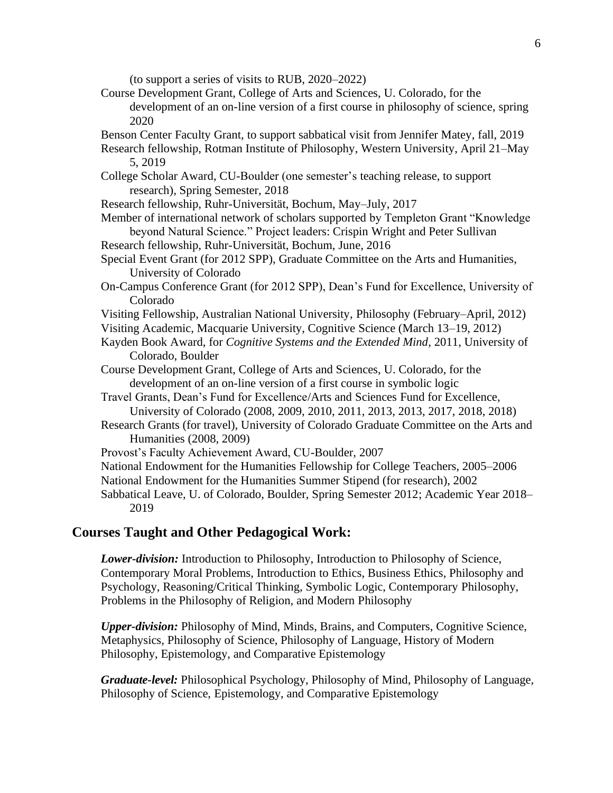(to support a series of visits to RUB, 2020–2022)

- Course Development Grant, College of Arts and Sciences, U. Colorado, for the development of an on-line version of a first course in philosophy of science, spring 2020
- Benson Center Faculty Grant, to support sabbatical visit from Jennifer Matey, fall, 2019
- Research fellowship, Rotman Institute of Philosophy, Western University, April 21–May 5, 2019
- College Scholar Award, CU-Boulder (one semester's teaching release, to support research), Spring Semester, 2018

Research fellowship, Ruhr-Universität, Bochum, May–July, 2017

- Member of international network of scholars supported by Templeton Grant "Knowledge beyond Natural Science." Project leaders: Crispin Wright and Peter Sullivan
- Research fellowship, Ruhr-Universität, Bochum, June, 2016
- Special Event Grant (for 2012 SPP), Graduate Committee on the Arts and Humanities, University of Colorado
- On-Campus Conference Grant (for 2012 SPP), Dean's Fund for Excellence, University of Colorado
- Visiting Fellowship, Australian National University, Philosophy (February–April, 2012)
- Visiting Academic, Macquarie University, Cognitive Science (March 13–19, 2012)
- Kayden Book Award, for *Cognitive Systems and the Extended Mind*, 2011, University of Colorado, Boulder
- Course Development Grant, College of Arts and Sciences, U. Colorado, for the development of an on-line version of a first course in symbolic logic
- Travel Grants, Dean's Fund for Excellence/Arts and Sciences Fund for Excellence, University of Colorado (2008, 2009, 2010, 2011, 2013, 2013, 2017, 2018, 2018)
- Research Grants (for travel), University of Colorado Graduate Committee on the Arts and Humanities (2008, 2009)
- Provost's Faculty Achievement Award, CU-Boulder, 2007
- National Endowment for the Humanities Fellowship for College Teachers, 2005–2006
- National Endowment for the Humanities Summer Stipend (for research), 2002

Sabbatical Leave, U. of Colorado, Boulder, Spring Semester 2012; Academic Year 2018– 2019

## **Courses Taught and Other Pedagogical Work:**

*Lower-division:* Introduction to Philosophy, Introduction to Philosophy of Science, Contemporary Moral Problems, Introduction to Ethics, Business Ethics, Philosophy and Psychology, Reasoning/Critical Thinking, Symbolic Logic, Contemporary Philosophy, Problems in the Philosophy of Religion, and Modern Philosophy

*Upper-division:* Philosophy of Mind, Minds, Brains, and Computers, Cognitive Science, Metaphysics, Philosophy of Science, Philosophy of Language, History of Modern Philosophy, Epistemology, and Comparative Epistemology

*Graduate-level:* Philosophical Psychology, Philosophy of Mind, Philosophy of Language, Philosophy of Science, Epistemology, and Comparative Epistemology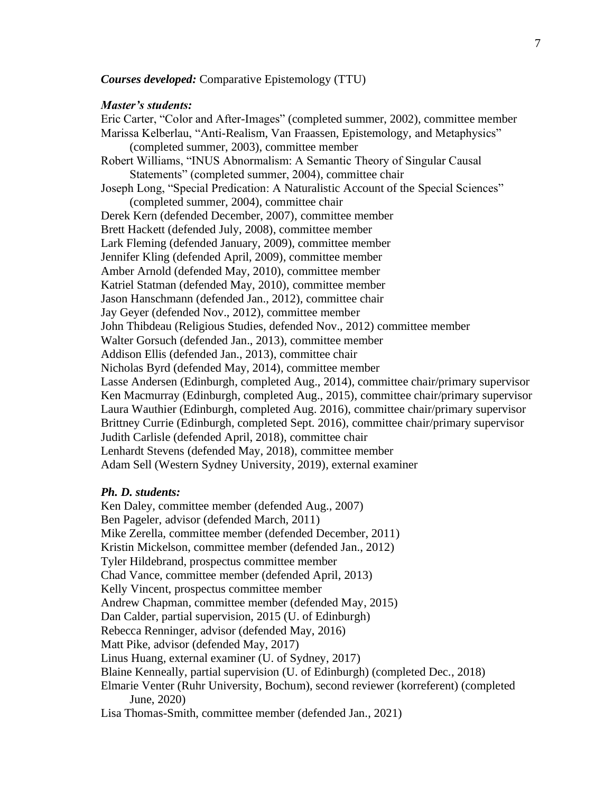### *Courses developed:* Comparative Epistemology (TTU)

#### *Master's students:*

Eric Carter, "Color and After-Images" (completed summer, 2002), committee member Marissa Kelberlau, "Anti-Realism, Van Fraassen, Epistemology, and Metaphysics" (completed summer, 2003), committee member Robert Williams, "INUS Abnormalism: A Semantic Theory of Singular Causal Statements" (completed summer, 2004), committee chair Joseph Long, "Special Predication: A Naturalistic Account of the Special Sciences" (completed summer, 2004), committee chair Derek Kern (defended December, 2007), committee member Brett Hackett (defended July, 2008), committee member Lark Fleming (defended January, 2009), committee member Jennifer Kling (defended April, 2009), committee member Amber Arnold (defended May, 2010), committee member Katriel Statman (defended May, 2010), committee member Jason Hanschmann (defended Jan., 2012), committee chair Jay Geyer (defended Nov., 2012), committee member John Thibdeau (Religious Studies, defended Nov., 2012) committee member Walter Gorsuch (defended Jan., 2013), committee member Addison Ellis (defended Jan., 2013), committee chair Nicholas Byrd (defended May, 2014), committee member Lasse Andersen (Edinburgh, completed Aug., 2014), committee chair/primary supervisor Ken Macmurray (Edinburgh, completed Aug., 2015), committee chair/primary supervisor Laura Wauthier (Edinburgh, completed Aug. 2016), committee chair/primary supervisor Brittney Currie (Edinburgh, completed Sept. 2016), committee chair/primary supervisor Judith Carlisle (defended April, 2018), committee chair Lenhardt Stevens (defended May, 2018), committee member Adam Sell (Western Sydney University, 2019), external examiner

#### *Ph. D. students:*

Ken Daley, committee member (defended Aug., 2007) Ben Pageler, advisor (defended March, 2011) Mike Zerella, committee member (defended December, 2011) Kristin Mickelson, committee member (defended Jan., 2012) Tyler Hildebrand, prospectus committee member Chad Vance, committee member (defended April, 2013) Kelly Vincent, prospectus committee member Andrew Chapman, committee member (defended May, 2015) Dan Calder, partial supervision, 2015 (U. of Edinburgh) Rebecca Renninger, advisor (defended May, 2016) Matt Pike, advisor (defended May, 2017) Linus Huang, external examiner (U. of Sydney, 2017) Blaine Kenneally, partial supervision (U. of Edinburgh) (completed Dec., 2018) Elmarie Venter (Ruhr University, Bochum), second reviewer (korreferent) (completed June, 2020) Lisa Thomas-Smith, committee member (defended Jan., 2021)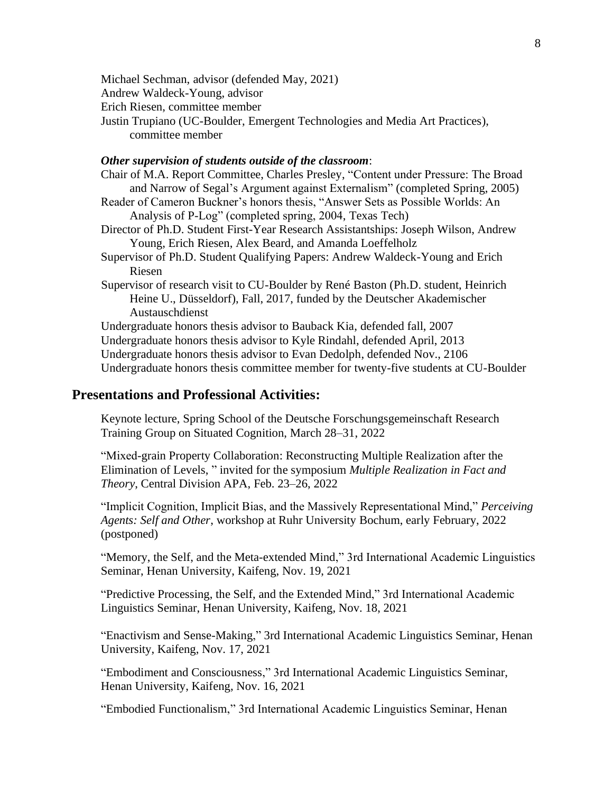Michael Sechman, advisor (defended May, 2021)

Andrew Waldeck-Young, advisor

Erich Riesen, committee member

Justin Trupiano (UC-Boulder, Emergent Technologies and Media Art Practices), committee member

### *Other supervision of students outside of the classroom*:

- Chair of M.A. Report Committee, Charles Presley, "Content under Pressure: The Broad and Narrow of Segal's Argument against Externalism" (completed Spring, 2005)
- Reader of Cameron Buckner's honors thesis, "Answer Sets as Possible Worlds: An Analysis of P-Log" (completed spring, 2004, Texas Tech)
- Director of Ph.D. Student First-Year Research Assistantships: Joseph Wilson, Andrew Young, Erich Riesen, Alex Beard, and Amanda Loeffelholz
- Supervisor of Ph.D. Student Qualifying Papers: Andrew Waldeck-Young and Erich Riesen
- Supervisor of research visit to CU-Boulder by René Baston (Ph.D. student, Heinrich Heine U., Düsseldorf), Fall, 2017, funded by the Deutscher Akademischer Austauschdienst

Undergraduate honors thesis advisor to Bauback Kia, defended fall, 2007 Undergraduate honors thesis advisor to Kyle Rindahl, defended April, 2013 Undergraduate honors thesis advisor to Evan Dedolph, defended Nov., 2106 Undergraduate honors thesis committee member for twenty-five students at CU-Boulder

## **Presentations and Professional Activities:**

Keynote lecture, Spring School of the Deutsche Forschungsgemeinschaft Research Training Group on Situated Cognition, March 28–31, 2022

"Mixed-grain Property Collaboration: Reconstructing Multiple Realization after the Elimination of Levels, " invited for the symposium *Multiple Realization in Fact and Theory*, Central Division APA, Feb. 23–26, 2022

"Implicit Cognition, Implicit Bias, and the Massively Representational Mind," *Perceiving Agents: Self and Other*, workshop at Ruhr University Bochum, early February, 2022 (postponed)

"Memory, the Self, and the Meta-extended Mind," 3rd International Academic Linguistics Seminar, Henan University, Kaifeng, Nov. 19, 2021

"Predictive Processing, the Self, and the Extended Mind," 3rd International Academic Linguistics Seminar, Henan University, Kaifeng, Nov. 18, 2021

"Enactivism and Sense-Making," 3rd International Academic Linguistics Seminar, Henan University, Kaifeng, Nov. 17, 2021

"Embodiment and Consciousness," 3rd International Academic Linguistics Seminar, Henan University, Kaifeng, Nov. 16, 2021

"Embodied Functionalism," 3rd International Academic Linguistics Seminar, Henan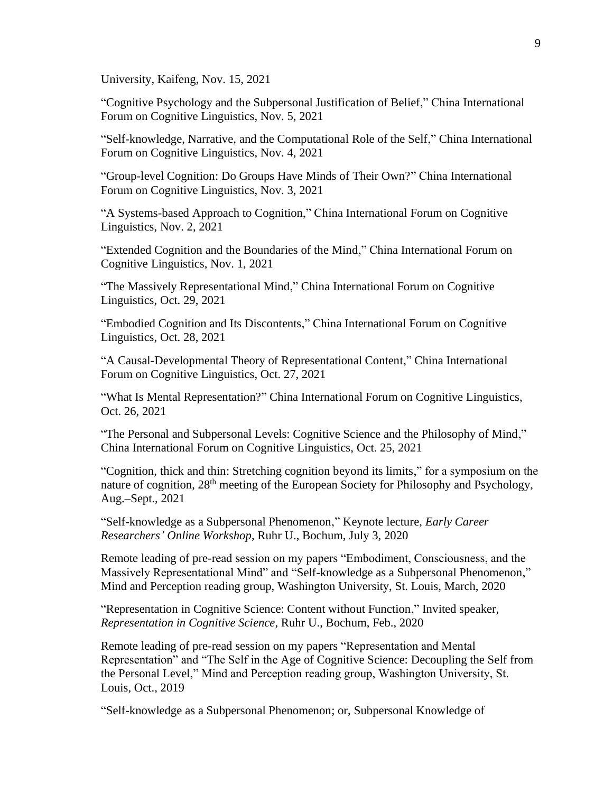University, Kaifeng, Nov. 15, 2021

"Cognitive Psychology and the Subpersonal Justification of Belief," China International Forum on Cognitive Linguistics, Nov. 5, 2021

"Self-knowledge, Narrative, and the Computational Role of the Self," China International Forum on Cognitive Linguistics, Nov. 4, 2021

"Group-level Cognition: Do Groups Have Minds of Their Own?" China International Forum on Cognitive Linguistics, Nov. 3, 2021

"A Systems-based Approach to Cognition," China International Forum on Cognitive Linguistics, Nov. 2, 2021

"Extended Cognition and the Boundaries of the Mind," China International Forum on Cognitive Linguistics, Nov. 1, 2021

"The Massively Representational Mind," China International Forum on Cognitive Linguistics, Oct. 29, 2021

"Embodied Cognition and Its Discontents," China International Forum on Cognitive Linguistics, Oct. 28, 2021

"A Causal-Developmental Theory of Representational Content," China International Forum on Cognitive Linguistics, Oct. 27, 2021

"What Is Mental Representation?" China International Forum on Cognitive Linguistics, Oct. 26, 2021

"The Personal and Subpersonal Levels: Cognitive Science and the Philosophy of Mind," China International Forum on Cognitive Linguistics, Oct. 25, 2021

"Cognition, thick and thin: Stretching cognition beyond its limits," for a symposium on the nature of cognition, 28<sup>th</sup> meeting of the European Society for Philosophy and Psychology, Aug.–Sept., 2021

"Self-knowledge as a Subpersonal Phenomenon," Keynote lecture, *Early Career Researchers' Online Workshop*, Ruhr U., Bochum, July 3, 2020

Remote leading of pre-read session on my papers "Embodiment, Consciousness, and the Massively Representational Mind" and "Self-knowledge as a Subpersonal Phenomenon," Mind and Perception reading group, Washington University, St. Louis, March, 2020

"Representation in Cognitive Science: Content without Function," Invited speaker, *Representation in Cognitive Science*, Ruhr U., Bochum, Feb., 2020

Remote leading of pre-read session on my papers "Representation and Mental Representation" and "The Self in the Age of Cognitive Science: Decoupling the Self from the Personal Level," Mind and Perception reading group, Washington University, St. Louis, Oct., 2019

"Self-knowledge as a Subpersonal Phenomenon; or, Subpersonal Knowledge of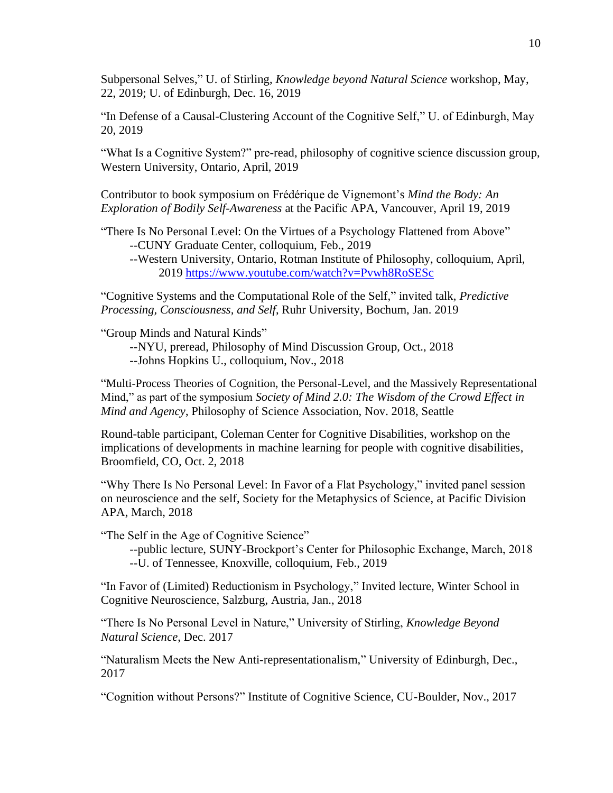Subpersonal Selves," U. of Stirling, *Knowledge beyond Natural Science* workshop, May, 22, 2019; U. of Edinburgh, Dec. 16, 2019

"In Defense of a Causal-Clustering Account of the Cognitive Self," U. of Edinburgh, May 20, 2019

"What Is a Cognitive System?" pre-read, philosophy of cognitive science discussion group, Western University, Ontario, April, 2019

Contributor to book symposium on Frédérique de Vignemont's *Mind the Body: An Exploration of Bodily Self-Awareness* at the Pacific APA, Vancouver, April 19, 2019

"There Is No Personal Level: On the Virtues of a Psychology Flattened from Above" --CUNY Graduate Center, colloquium, Feb., 2019

--Western University, Ontario, Rotman Institute of Philosophy, colloquium, April, 2019 <https://www.youtube.com/watch?v=Pvwh8RoSESc>

"Cognitive Systems and the Computational Role of the Self," invited talk, *Predictive Processing, Consciousness, and Self*, Ruhr University, Bochum, Jan. 2019

"Group Minds and Natural Kinds"

--NYU, preread, Philosophy of Mind Discussion Group, Oct., 2018

--Johns Hopkins U., colloquium, Nov., 2018

"Multi-Process Theories of Cognition, the Personal-Level, and the Massively Representational Mind," as part of the symposium *Society of Mind 2.0: The Wisdom of the Crowd Effect in Mind and Agency*, Philosophy of Science Association, Nov. 2018, Seattle

Round-table participant, Coleman Center for Cognitive Disabilities, workshop on the implications of developments in machine learning for people with cognitive disabilities, Broomfield, CO, Oct. 2, 2018

"Why There Is No Personal Level: In Favor of a Flat Psychology," invited panel session on neuroscience and the self, Society for the Metaphysics of Science, at Pacific Division APA, March, 2018

"The Self in the Age of Cognitive Science"

--public lecture, SUNY-Brockport's Center for Philosophic Exchange, March, 2018 --U. of Tennessee, Knoxville, colloquium, Feb., 2019

"In Favor of (Limited) Reductionism in Psychology," Invited lecture, Winter School in Cognitive Neuroscience, Salzburg, Austria, Jan., 2018

"There Is No Personal Level in Nature," University of Stirling, *Knowledge Beyond Natural Science*, Dec. 2017

"Naturalism Meets the New Anti-representationalism," University of Edinburgh, Dec., 2017

"Cognition without Persons?" Institute of Cognitive Science, CU-Boulder, Nov., 2017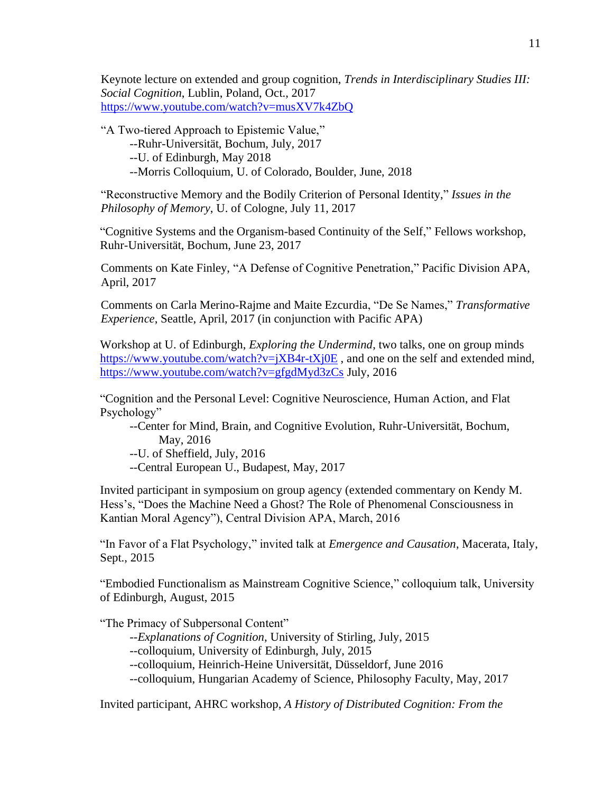Keynote lecture on extended and group cognition, *Trends in Interdisciplinary Studies III: Social Cognition*, Lublin, Poland, Oct., 2017 <https://www.youtube.com/watch?v=musXV7k4ZbQ>

"A Two-tiered Approach to Epistemic Value,"

- --Ruhr-Universität, Bochum, July, 2017
- --U. of Edinburgh, May 2018
- --Morris Colloquium, U. of Colorado, Boulder, June, 2018

"Reconstructive Memory and the Bodily Criterion of Personal Identity," *Issues in the Philosophy of Memory*, U. of Cologne, July 11, 2017

"Cognitive Systems and the Organism-based Continuity of the Self," Fellows workshop, Ruhr-Universität, Bochum, June 23, 2017

Comments on Kate Finley, "A Defense of Cognitive Penetration," Pacific Division APA, April, 2017

Comments on Carla Merino-Rajme and Maite Ezcurdia, "De Se Names," *Transformative Experience*, Seattle, April, 2017 (in conjunction with Pacific APA)

Workshop at U. of Edinburgh, *Exploring the Undermind*, two talks, one on group minds <https://www.youtube.com/watch?v=jXB4r-tXj0E>, and one on the self and extended mind, <https://www.youtube.com/watch?v=gfgdMyd3zCs> July, 2016

"Cognition and the Personal Level: Cognitive Neuroscience, Human Action, and Flat Psychology"

--Center for Mind, Brain, and Cognitive Evolution, Ruhr-Universität, Bochum, May, 2016

--U. of Sheffield, July, 2016

--Central European U., Budapest, May, 2017

Invited participant in symposium on group agency (extended commentary on Kendy M. Hess's, "Does the Machine Need a Ghost? The Role of Phenomenal Consciousness in Kantian Moral Agency"), Central Division APA, March, 2016

"In Favor of a Flat Psychology," invited talk at *Emergence and Causation*, Macerata, Italy, Sept., 2015

"Embodied Functionalism as Mainstream Cognitive Science," colloquium talk, University of Edinburgh, August, 2015

"The Primacy of Subpersonal Content"

- --*Explanations of Cognition*, University of Stirling, July, 2015
- --colloquium, University of Edinburgh, July, 2015

--colloquium, Heinrich-Heine Universität, Düsseldorf, June 2016

--colloquium, Hungarian Academy of Science, Philosophy Faculty, May, 2017

Invited participant, AHRC workshop, *A History of Distributed Cognition: From the*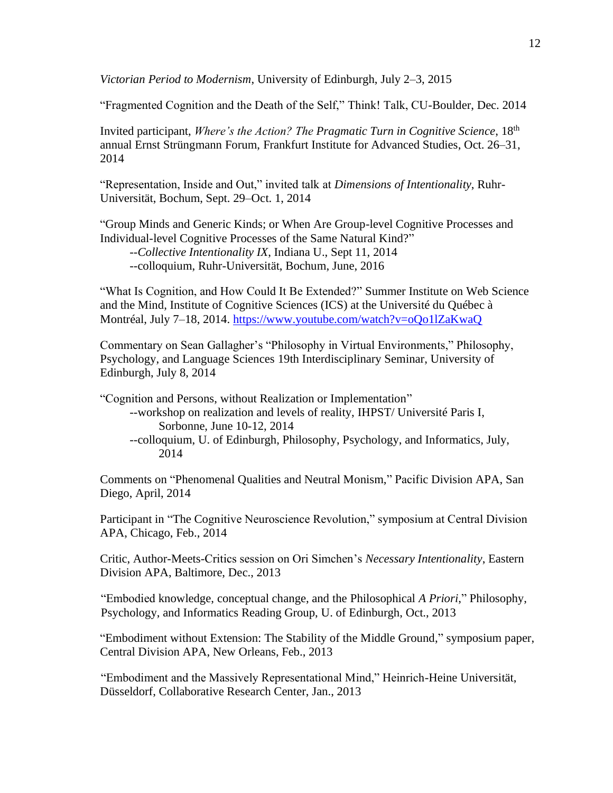*Victorian Period to Modernism*, University of Edinburgh, July 2–3, 2015

"Fragmented Cognition and the Death of the Self," Think! Talk, CU-Boulder, Dec. 2014

Invited participant, *Where's the Action? The Pragmatic Turn in Cognitive Science*, 18th annual Ernst Strüngmann Forum, Frankfurt Institute for Advanced Studies, Oct. 26–31, 2014

"Representation, Inside and Out," invited talk at *Dimensions of Intentionality*, Ruhr-Universität, Bochum, Sept. 29–Oct. 1, 2014

"Group Minds and Generic Kinds; or When Are Group-level Cognitive Processes and Individual-level Cognitive Processes of the Same Natural Kind?"

--*Collective Intentionality IX*, Indiana U., Sept 11, 2014 --colloquium, Ruhr-Universität, Bochum, June, 2016

"What Is Cognition, and How Could It Be Extended?" Summer Institute on Web Science and the Mind, Institute of Cognitive Sciences (ICS) at the Université du Québec à Montréal, July 7–18, 2014.<https://www.youtube.com/watch?v=oQo1lZaKwaQ>

Commentary on Sean Gallagher's "Philosophy in Virtual Environments," Philosophy, Psychology, and Language Sciences 19th Interdisciplinary Seminar, University of Edinburgh, July 8, 2014

"Cognition and Persons, without Realization or Implementation"

- --workshop on realization and levels of reality, IHPST/ Université Paris I, Sorbonne, June 10-12, 2014
- --colloquium, U. of Edinburgh, Philosophy, Psychology, and Informatics, July, 2014

Comments on "Phenomenal Qualities and Neutral Monism," Pacific Division APA, San Diego, April, 2014

Participant in "The Cognitive Neuroscience Revolution," symposium at Central Division APA, Chicago, Feb., 2014

Critic, Author-Meets-Critics session on Ori Simchen's *Necessary Intentionality*, Eastern Division APA, Baltimore, Dec., 2013

"Embodied knowledge, conceptual change, and the Philosophical *A Priori*," Philosophy, Psychology, and Informatics Reading Group, U. of Edinburgh, Oct., 2013

"Embodiment without Extension: The Stability of the Middle Ground," symposium paper, Central Division APA, New Orleans, Feb., 2013

"Embodiment and the Massively Representational Mind," Heinrich-Heine Universität, Düsseldorf, Collaborative Research Center, Jan., 2013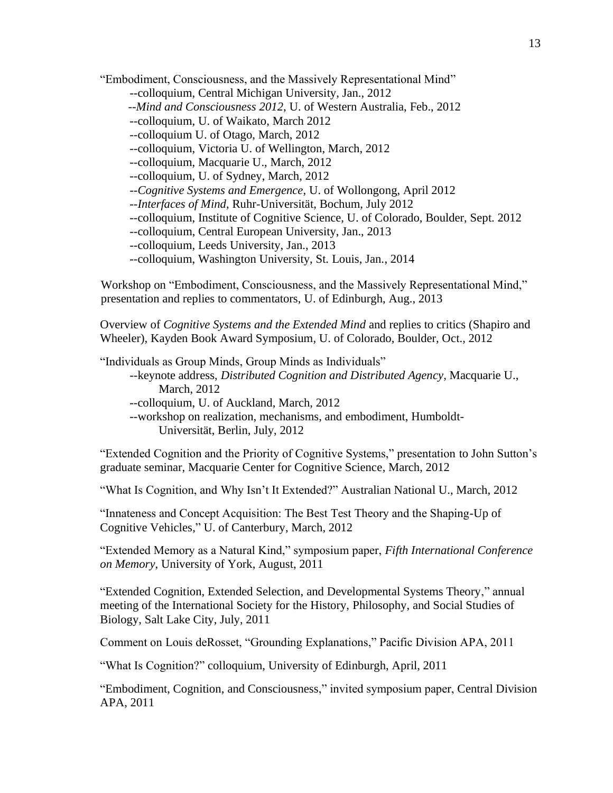"Embodiment, Consciousness, and the Massively Representational Mind"

--colloquium, Central Michigan University, Jan., 2012

--*Mind and Consciousness 2012*, U. of Western Australia, Feb., 2012

--colloquium, U. of Waikato, March 2012

--colloquium U. of Otago, March, 2012

--colloquium, Victoria U. of Wellington, March, 2012

--colloquium, Macquarie U., March, 2012

--colloquium, U. of Sydney, March, 2012

--*Cognitive Systems and Emergence*, U. of Wollongong, April 2012

--*Interfaces of Mind*, Ruhr-Universität, Bochum, July 2012

--colloquium, Institute of Cognitive Science, U. of Colorado, Boulder, Sept. 2012

--colloquium, Central European University, Jan., 2013

--colloquium, Leeds University, Jan., 2013

--colloquium, Washington University, St. Louis, Jan., 2014

Workshop on "Embodiment, Consciousness, and the Massively Representational Mind," presentation and replies to commentators, U. of Edinburgh, Aug., 2013

Overview of *Cognitive Systems and the Extended Mind* and replies to critics (Shapiro and Wheeler), Kayden Book Award Symposium, U. of Colorado, Boulder, Oct., 2012

"Individuals as Group Minds, Group Minds as Individuals"

--keynote address, *Distributed Cognition and Distributed Agency*, Macquarie U., March, 2012

--colloquium, U. of Auckland, March, 2012

--workshop on realization, mechanisms, and embodiment, Humboldt-Universität, Berlin, July, 2012

"Extended Cognition and the Priority of Cognitive Systems," presentation to John Sutton's graduate seminar, Macquarie Center for Cognitive Science, March, 2012

"What Is Cognition, and Why Isn't It Extended?" Australian National U., March, 2012

"Innateness and Concept Acquisition: The Best Test Theory and the Shaping-Up of Cognitive Vehicles," U. of Canterbury, March, 2012

"Extended Memory as a Natural Kind," symposium paper, *Fifth International Conference on Memory*, University of York, August, 2011

"Extended Cognition, Extended Selection, and Developmental Systems Theory," annual meeting of the International Society for the History, Philosophy, and Social Studies of Biology, Salt Lake City, July, 2011

Comment on Louis deRosset, "Grounding Explanations," Pacific Division APA, 2011

"What Is Cognition?" colloquium, University of Edinburgh, April, 2011

"Embodiment, Cognition, and Consciousness," invited symposium paper, Central Division APA, 2011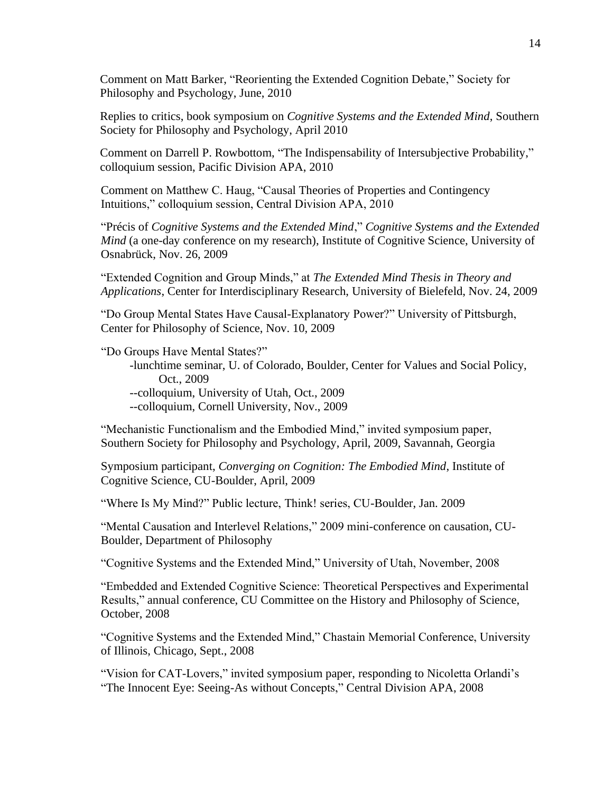Comment on Matt Barker, "Reorienting the Extended Cognition Debate," Society for Philosophy and Psychology, June, 2010

Replies to critics, book symposium on *Cognitive Systems and the Extended Mind*, Southern Society for Philosophy and Psychology, April 2010

Comment on Darrell P. Rowbottom, "The Indispensability of Intersubjective Probability," colloquium session, Pacific Division APA, 2010

Comment on Matthew C. Haug, "Causal Theories of Properties and Contingency Intuitions," colloquium session, Central Division APA, 2010

"Précis of *Cognitive Systems and the Extended Mind*," *Cognitive Systems and the Extended Mind* (a one-day conference on my research), Institute of Cognitive Science, University of Osnabrück, Nov. 26, 2009

"Extended Cognition and Group Minds," at *The Extended Mind Thesis in Theory and Applications*, Center for Interdisciplinary Research, University of Bielefeld, Nov. 24, 2009

"Do Group Mental States Have Causal-Explanatory Power?" University of Pittsburgh, Center for Philosophy of Science, Nov. 10, 2009

"Do Groups Have Mental States?"

-lunchtime seminar, U. of Colorado, Boulder, Center for Values and Social Policy, Oct., 2009 --colloquium, University of Utah, Oct., 2009

--colloquium, Cornell University, Nov., 2009

"Mechanistic Functionalism and the Embodied Mind," invited symposium paper, Southern Society for Philosophy and Psychology, April, 2009, Savannah, Georgia

Symposium participant, *Converging on Cognition: The Embodied Mind*, Institute of Cognitive Science, CU-Boulder, April, 2009

"Where Is My Mind?" Public lecture, Think! series, CU-Boulder, Jan. 2009

"Mental Causation and Interlevel Relations," 2009 mini-conference on causation, CU-Boulder, Department of Philosophy

"Cognitive Systems and the Extended Mind," University of Utah, November, 2008

"Embedded and Extended Cognitive Science: Theoretical Perspectives and Experimental Results," annual conference, CU Committee on the History and Philosophy of Science, October, 2008

"Cognitive Systems and the Extended Mind," Chastain Memorial Conference, University of Illinois, Chicago, Sept., 2008

"Vision for CAT-Lovers," invited symposium paper, responding to Nicoletta Orlandi's "The Innocent Eye: Seeing-As without Concepts," Central Division APA, 2008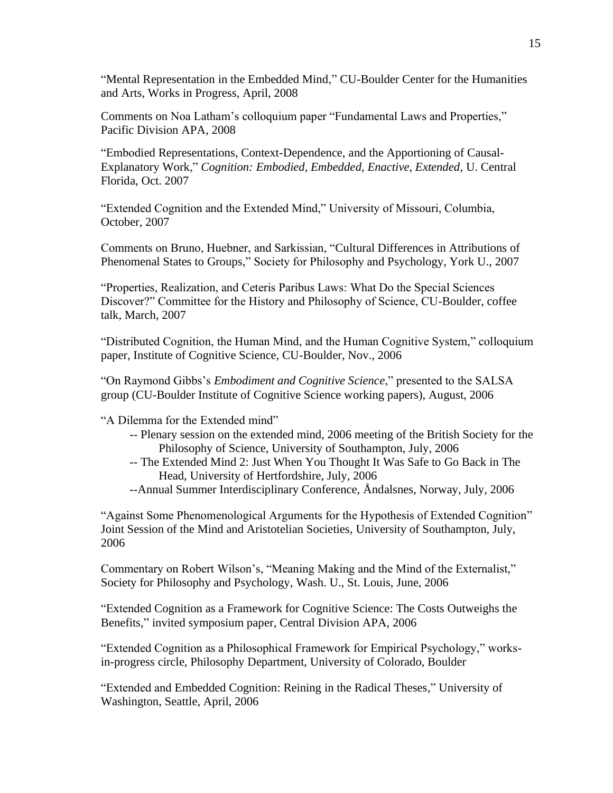"Mental Representation in the Embedded Mind," CU-Boulder Center for the Humanities and Arts, Works in Progress, April, 2008

Comments on Noa Latham's colloquium paper "Fundamental Laws and Properties," Pacific Division APA, 2008

"Embodied Representations, Context-Dependence, and the Apportioning of Causal-Explanatory Work," *Cognition: Embodied, Embedded, Enactive, Extended*, U. Central Florida, Oct. 2007

"Extended Cognition and the Extended Mind," University of Missouri, Columbia, October, 2007

Comments on Bruno, Huebner, and Sarkissian, "Cultural Differences in Attributions of Phenomenal States to Groups," Society for Philosophy and Psychology, York U., 2007

"Properties, Realization, and Ceteris Paribus Laws: What Do the Special Sciences Discover?" Committee for the History and Philosophy of Science, CU-Boulder, coffee talk, March, 2007

"Distributed Cognition, the Human Mind, and the Human Cognitive System," colloquium paper, Institute of Cognitive Science, CU-Boulder, Nov., 2006

"On Raymond Gibbs's *Embodiment and Cognitive Science*," presented to the SALSA group (CU-Boulder Institute of Cognitive Science working papers), August, 2006

"A Dilemma for the Extended mind"

- -- Plenary session on the extended mind, 2006 meeting of the British Society for the Philosophy of Science, University of Southampton, July, 2006
- -- The Extended Mind 2: Just When You Thought It Was Safe to Go Back in The Head, University of Hertfordshire, July, 2006
- --Annual Summer Interdisciplinary Conference, Åndalsnes, Norway, July, 2006

"Against Some Phenomenological Arguments for the Hypothesis of Extended Cognition" Joint Session of the Mind and Aristotelian Societies, University of Southampton, July, 2006

Commentary on Robert Wilson's, "Meaning Making and the Mind of the Externalist," Society for Philosophy and Psychology, Wash. U., St. Louis, June, 2006

"Extended Cognition as a Framework for Cognitive Science: The Costs Outweighs the Benefits," invited symposium paper, Central Division APA, 2006

"Extended Cognition as a Philosophical Framework for Empirical Psychology," worksin-progress circle, Philosophy Department, University of Colorado, Boulder

"Extended and Embedded Cognition: Reining in the Radical Theses," University of Washington, Seattle, April, 2006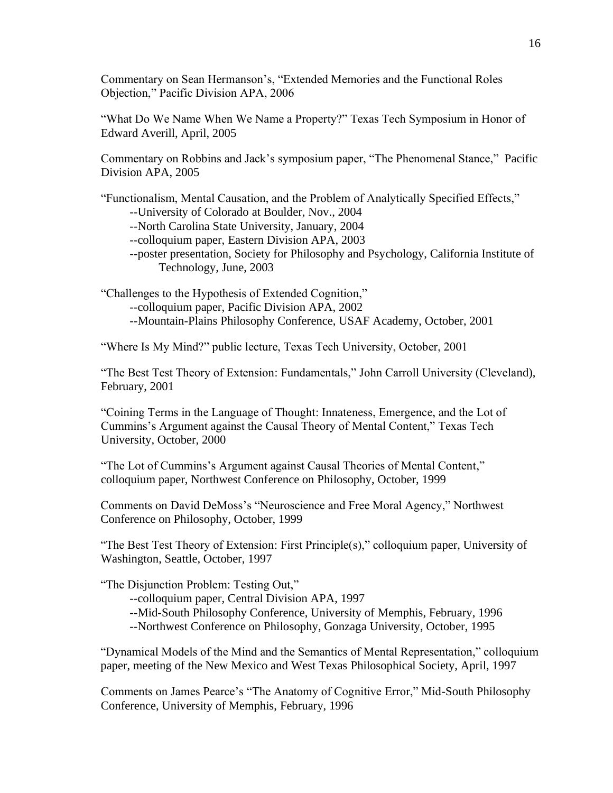Commentary on Sean Hermanson's, "Extended Memories and the Functional Roles Objection," Pacific Division APA, 2006

"What Do We Name When We Name a Property?" Texas Tech Symposium in Honor of Edward Averill, April, 2005

Commentary on Robbins and Jack's symposium paper, "The Phenomenal Stance," Pacific Division APA, 2005

"Functionalism, Mental Causation, and the Problem of Analytically Specified Effects,"

--University of Colorado at Boulder, Nov., 2004

- --North Carolina State University, January, 2004
- --colloquium paper, Eastern Division APA, 2003
- --poster presentation, Society for Philosophy and Psychology, California Institute of Technology, June, 2003

"Challenges to the Hypothesis of Extended Cognition,"

- --colloquium paper, Pacific Division APA, 2002
- --Mountain-Plains Philosophy Conference, USAF Academy, October, 2001

"Where Is My Mind?" public lecture, Texas Tech University, October, 2001

"The Best Test Theory of Extension: Fundamentals," John Carroll University (Cleveland), February, 2001

"Coining Terms in the Language of Thought: Innateness, Emergence, and the Lot of Cummins's Argument against the Causal Theory of Mental Content," Texas Tech University, October, 2000

"The Lot of Cummins's Argument against Causal Theories of Mental Content," colloquium paper, Northwest Conference on Philosophy, October, 1999

Comments on David DeMoss's "Neuroscience and Free Moral Agency," Northwest Conference on Philosophy, October, 1999

"The Best Test Theory of Extension: First Principle(s)," colloquium paper, University of Washington, Seattle, October, 1997

"The Disjunction Problem: Testing Out,"

- --colloquium paper, Central Division APA, 1997
- --Mid-South Philosophy Conference, University of Memphis, February, 1996
- --Northwest Conference on Philosophy, Gonzaga University, October, 1995

"Dynamical Models of the Mind and the Semantics of Mental Representation," colloquium paper, meeting of the New Mexico and West Texas Philosophical Society, April, 1997

Comments on James Pearce's "The Anatomy of Cognitive Error," Mid-South Philosophy Conference, University of Memphis, February, 1996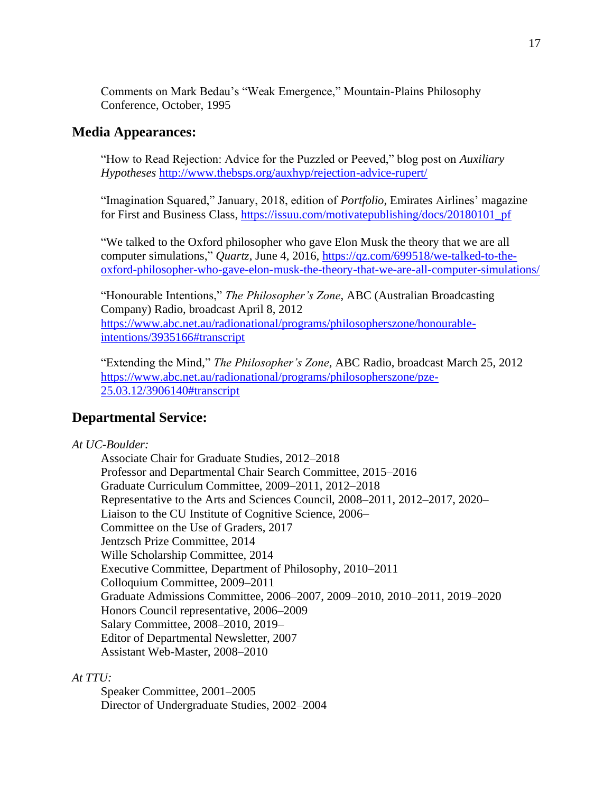Comments on Mark Bedau's "Weak Emergence," Mountain-Plains Philosophy Conference, October, 1995

## **Media Appearances:**

"How to Read Rejection: Advice for the Puzzled or Peeved," blog post on *Auxiliary Hypotheses* <http://www.thebsps.org/auxhyp/rejection-advice-rupert/>

"Imagination Squared," January, 2018, edition of *Portfolio*, Emirates Airlines' magazine for First and Business Class, [https://issuu.com/motivatepublishing/docs/20180101\\_pf](https://issuu.com/motivatepublishing/docs/20180101_pf)

"We talked to the Oxford philosopher who gave Elon Musk the theory that we are all computer simulations," *Quartz*, June 4, 2016, [https://qz.com/699518/we-talked-to-the](https://qz.com/699518/we-talked-to-the-oxford-philosopher-who-gave-elon-musk-the-theory-that-we-are-all-computer-simulations/)[oxford-philosopher-who-gave-elon-musk-the-theory-that-we-are-all-computer-simulations/](https://qz.com/699518/we-talked-to-the-oxford-philosopher-who-gave-elon-musk-the-theory-that-we-are-all-computer-simulations/)

"Honourable Intentions," *The Philosopher's Zone*, ABC (Australian Broadcasting Company) Radio, broadcast April 8, 2012 [https://www.abc.net.au/radionational/programs/philosopherszone/honourable](https://www.abc.net.au/radionational/programs/philosopherszone/honourable-intentions/3935166#transcript)[intentions/3935166#transcript](https://www.abc.net.au/radionational/programs/philosopherszone/honourable-intentions/3935166#transcript)

"Extending the Mind," *The Philosopher's Zone*, ABC Radio, broadcast March 25, 2012 [https://www.abc.net.au/radionational/programs/philosopherszone/pze-](https://www.abc.net.au/radionational/programs/philosopherszone/pze-25.03.12/3906140#transcript)[25.03.12/3906140#transcript](https://www.abc.net.au/radionational/programs/philosopherszone/pze-25.03.12/3906140#transcript)

## **Departmental Service:**

### *At UC-Boulder:*

Associate Chair for Graduate Studies, 2012–2018 Professor and Departmental Chair Search Committee, 2015–2016 Graduate Curriculum Committee, 2009–2011, 2012–2018 Representative to the Arts and Sciences Council, 2008–2011, 2012–2017, 2020– Liaison to the CU Institute of Cognitive Science, 2006– Committee on the Use of Graders, 2017 Jentzsch Prize Committee, 2014 Wille Scholarship Committee, 2014 Executive Committee, Department of Philosophy, 2010–2011 Colloquium Committee, 2009–2011 Graduate Admissions Committee, 2006–2007, 2009–2010, 2010–2011, 2019–2020 Honors Council representative, 2006–2009 Salary Committee, 2008–2010, 2019– Editor of Departmental Newsletter, 2007 Assistant Web-Master, 2008–2010

## *At TTU:*

Speaker Committee, 2001–2005 Director of Undergraduate Studies, 2002–2004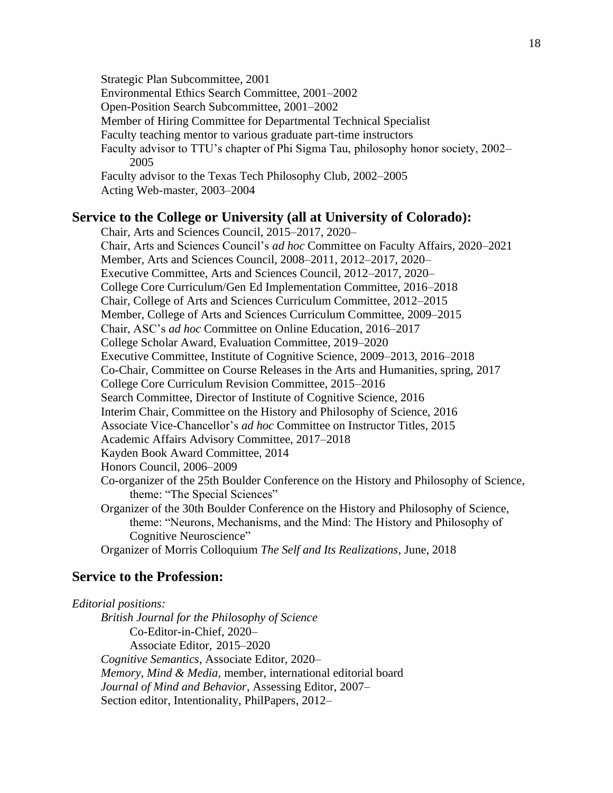Strategic Plan Subcommittee, 2001 Environmental Ethics Search Committee, 2001–2002 Open-Position Search Subcommittee, 2001–2002 Member of Hiring Committee for Departmental Technical Specialist Faculty teaching mentor to various graduate part-time instructors Faculty advisor to TTU's chapter of Phi Sigma Tau, philosophy honor society, 2002– 2005 Faculty advisor to the Texas Tech Philosophy Club, 2002–2005 Acting Web-master, 2003–2004

### **Service to the College or University (all at University of Colorado):**

Chair, Arts and Sciences Council, 2015–2017, 2020– Chair, Arts and Sciences Council's *ad hoc* Committee on Faculty Affairs, 2020–2021 Member, Arts and Sciences Council, 2008–2011, 2012–2017, 2020– Executive Committee, Arts and Sciences Council, 2012–2017, 2020– College Core Curriculum/Gen Ed Implementation Committee, 2016–2018 Chair, College of Arts and Sciences Curriculum Committee, 2012–2015 Member, College of Arts and Sciences Curriculum Committee, 2009–2015 Chair, ASC's *ad hoc* Committee on Online Education, 2016–2017 College Scholar Award, Evaluation Committee, 2019–2020 Executive Committee, Institute of Cognitive Science, 2009–2013, 2016–2018 Co-Chair, Committee on Course Releases in the Arts and Humanities, spring, 2017 College Core Curriculum Revision Committee, 2015–2016 Search Committee, Director of Institute of Cognitive Science, 2016 Interim Chair, Committee on the History and Philosophy of Science, 2016 Associate Vice-Chancellor's *ad hoc* Committee on Instructor Titles, 2015 Academic Affairs Advisory Committee, 2017–2018 Kayden Book Award Committee, 2014 Honors Council, 2006–2009 Co-organizer of the 25th Boulder Conference on the History and Philosophy of Science, theme: "The Special Sciences" Organizer of the 30th Boulder Conference on the History and Philosophy of Science, theme: "Neurons, Mechanisms, and the Mind: The History and Philosophy of Cognitive Neuroscience" Organizer of Morris Colloquium *The Self and Its Realizations*, June, 2018

## **Service to the Profession:**

*Editorial positions: British Journal for the Philosophy of Science* Co-Editor-in-Chief, 2020– Associate Editor, 2015–2020 *Cognitive Semantics*, Associate Editor, 2020– *Memory, Mind & Media*, member, international editorial board *Journal of Mind and Behavior*, Assessing Editor, 2007– Section editor, Intentionality, PhilPapers, 2012–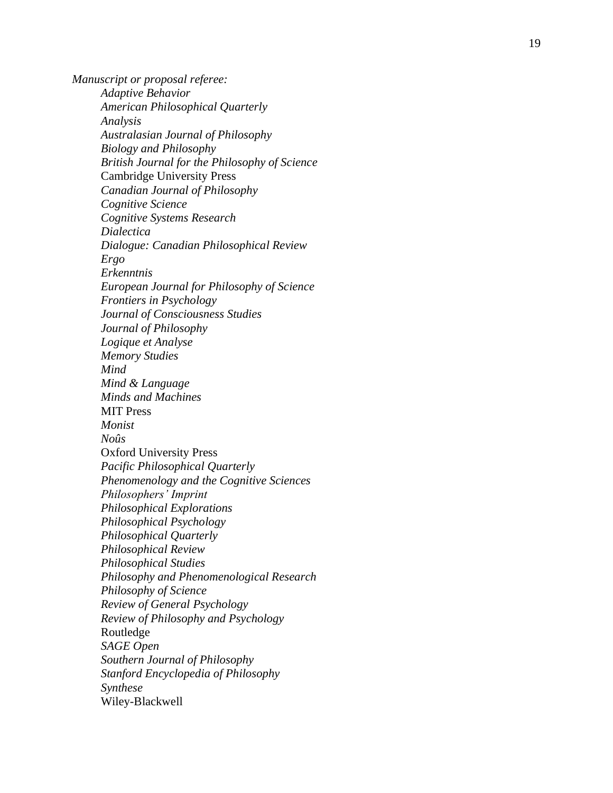*Manuscript or proposal referee : Adaptive Behavior American Philosophical Quarterly Analysis Australasian Journal of Philosophy Biology and Philosophy British Journal for the Philosophy of Science* Cambridge University Press *Canadian Journal of Philosophy Cognitive Science Cognitive Systems Research Dialectica Dialogue: Canadian Philosophical Review Ergo Erkenntnis European Journal for Philosophy of Science Frontiers in Psychology Journal of Consciousness Studies Journal of Philosophy Logique et Analyse Memory Studies Mind Mind & Language Minds and Machines* MIT Press *Monist No û s* Oxford University Press *Pacific Philosophical Quarterly Phenomenology and the Cognitive Sciences Philosophers' Imprint Philosophical Explorations Philosophical Psychology Philosophical Quarterly Philosophical Review Philosophical Studies Philosophy and Phenomenological Research Philosophy of Science Review of General Psychology Review of Philosophy and Psychology* Routledge *SAGE Open Southern Journal of Philosophy Stanford Encyclopedia of Philosophy Synthese* Wiley -Blackwell